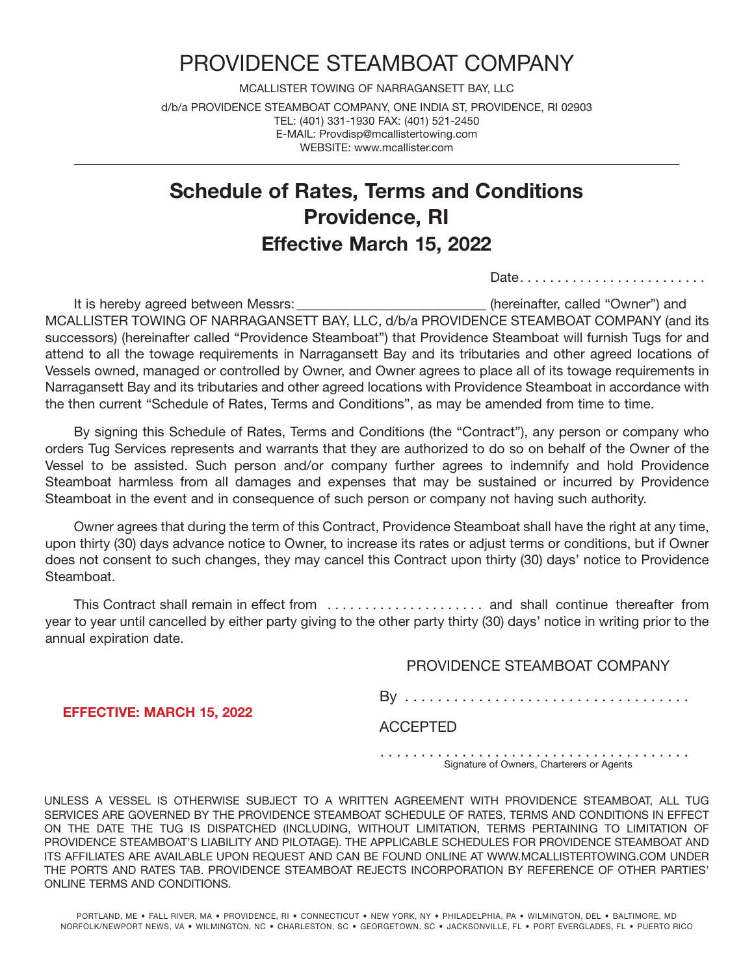# PROVIDENCE STEAMBOAT COMPANY

MCALLISTER TOWING OF NARRAGANSETT BAY, LLC d/b/a PROVIDENCE STEAMBOAT COMPANY, ONE INDIA ST, PROVIDENCE, RI 02903 TEL: (401) 331-1930 FAX: (401) 521-2450 E-MAIL: Provdisp@mcallistertowing.com WEBSITE: www.mcallister.com

# **Schedule of Rates, Terms and Conditions Providence, Ri effective March 15, 2022**

Date. . . . . . . . . . . . . . . . . . . . . . . . .

It is hereby agreed between Messrs: **Example 20** (hereinafter, called "Owner") and MCALLISTER TOWING OF NARRAGANSETT BAY, LLC, d/b/a PROVIDENCE STEAMBOAT COMPANY (and its successors) (hereinafter called "Providence Steamboat") that Providence Steamboat will furnish Tugs for and attend to all the towage requirements in Narragansett Bay and its tributaries and other agreed locations of Vessels owned, managed or controlled by Owner, and Owner agrees to place all of its towage requirements in Narragansett Bay and its tributaries and other agreed locations with Providence Steamboat in accordance with the then current "Schedule of Rates, Terms and Conditions", as may be amended from time to time.

 By signing this Schedule of Rates, Terms and Conditions (the "Contract"), any person or company who orders Tug Services represents and warrants that they are authorized to do so on behalf of the Owner of the Vessel to be assisted. Such person and/or company further agrees to indemnify and hold Providence Steamboat harmless from all damages and expenses that may be sustained or incurred by Providence Steamboat in the event and in consequence of such person or company not having such authority.

 Owner agrees that during the term of this Contract, Providence Steamboat shall have the right at any time, upon thirty (30) days advance notice to Owner, to increase its rates or adjust terms or conditions, but if Owner does not consent to such changes, they may cancel this Contract upon thirty (30) days' notice to Providence Steamboat.

 This Contract shall remain in effect from . . . . . . . . . . . . . . . . . . . . . and shall continue thereafter from year to year until cancelled by either party giving to the other party thirty (30) days' notice in writing prior to the annual expiration date.

## PROVIDENCE STEAMBOAT COMPANY

By . . . . . . . . . . . . . . . . . . . . . . . . . . . . . . . . . . .

**effective: MARcH 15, 2022**

ACCEPTED

. . . . . . . . . . . . . . . . . . . . . . . . . . . . . . . . . . . . . . Signature of Owners, Charterers or Agents

UNLESS A VESSEL IS OTHERWISE SUBJECT TO A WRITTEN AGREEMENT WITH PROVIDENCE STEAMBOAT, ALL TUG SERVICES ARE GOVERNED BY THE PROVIDENCE STEAMBOAT SCHEDULE OF RATES, TERMS AND CONDITIONS IN EFFECT ON THE DATE THE TUG IS DISPATCHED (INCLUDING, WITHOUT LIMITATION, TERMS PERTAINING TO LIMITATION OF PROVIDENCE STEAMBOAT'S LIABILITY AND PILOTAGE). THE APPLICABLE SCHEDULES FOR PROVIDENCE STEAMBOAT AND ITS AFFILIATES ARE AVAILABLE UPON REQUEST AND CAN BE FOUND ONLINE AT WWW.MCALLISTERTOWING.COM UNDER THE PORTS AND RATES TAB. PROVIDENCE STEAMBOAT REJECTS INCORPORATION BY REFERENCE OF OTHER PARTIES' ONLINE TERMS AND CONDITIONS.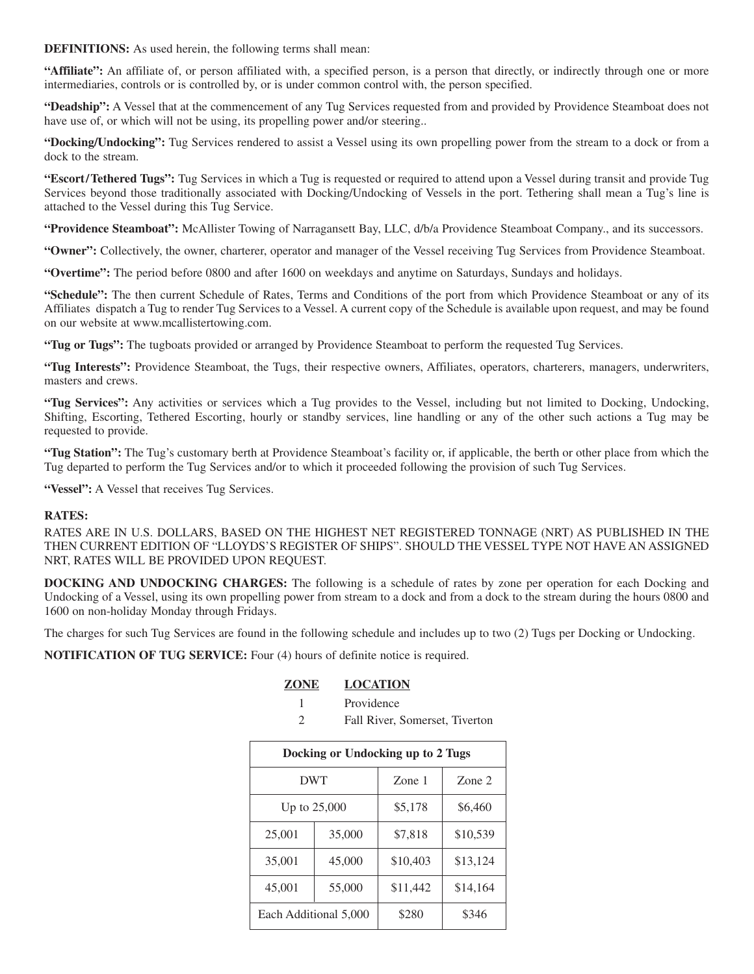**DEFINITIONS:** As used herein, the following terms shall mean:

**"Affiliate":** An affiliate of, or person affiliated with, a specified person, is a person that directly, or indirectly through one or more intermediaries, controls or is controlled by, or is under common control with, the person specified.

**"Deadship":** A Vessel that at the commencement of any Tug Services requested from and provided by Providence Steamboat does not have use of, or which will not be using, its propelling power and/or steering...

**"Docking/Undocking":** Tug Services rendered to assist a Vessel using its own propelling power from the stream to a dock or from a dock to the stream.

**"Escort/Tethered Tugs":** Tug Services in which a Tug is requested or required to attend upon a Vessel during transit and provide Tug Services beyond those traditionally associated with Docking/Undocking of Vessels in the port. Tethering shall mean a Tug's line is attached to the Vessel during this Tug Service.

**"Providence Steamboat":** McAllister Towing of Narragansett Bay, LLC, d/b/a Providence Steamboat Company., and its successors.

**"Owner":** Collectively, the owner, charterer, operator and manager of the Vessel receiving Tug Services from Providence Steamboat.

**"Overtime":** The period before 0800 and after 1600 on weekdays and anytime on Saturdays, Sundays and holidays.

**"Schedule":** The then current Schedule of Rates, Terms and Conditions of the port from which Providence Steamboat or any of its Affiliates dispatch a Tug to render Tug Services to a Vessel. A current copy of the Schedule is available upon request, and may be found on our website at www.mcallistertowing.com.

**"Tug or Tugs":** The tugboats provided or arranged by Providence Steamboat to perform the requested Tug Services.

**"Tug Interests":** Providence Steamboat, the Tugs, their respective owners, Affiliates, operators, charterers, managers, underwriters, masters and crews.

**"Tug Services":** Any activities or services which a Tug provides to the Vessel, including but not limited to Docking, Undocking, Shifting, Escorting, Tethered Escorting, hourly or standby services, line handling or any of the other such actions a Tug may be requested to provide.

**"Tug Station":** The Tug's customary berth at Providence Steamboat's facility or, if applicable, the berth or other place from which the Tug departed to perform the Tug Services and/or to which it proceeded following the provision of such Tug Services.

**"Vessel":** A Vessel that receives Tug Services.

#### **RATES:**

RATES ARE IN U.S. DOLLARS, BASED ON THE HIGHEST NET REGISTERED TONNAGE (NRT) AS PUBLISHED IN THE THEN CURRENT EDITION OF "LLOYDS'S REGISTER OF SHIPS". SHOULD THE VESSEL TYPE NOT HAVE AN ASSIGNED NRT, RATES WILL BE PROVIDED UPON REQUEST.

**DOCKING AND UNDOCKING CHARGES:** The following is a schedule of rates by zone per operation for each Docking and Undocking of a Vessel, using its own propelling power from stream to a dock and from a dock to the stream during the hours 0800 and 1600 on non-holiday Monday through Fridays.

The charges for such Tug Services are found in the following schedule and includes up to two (2) Tugs per Docking or Undocking.

**NOTIFICATION OF TUG SERVICE:** Four (4) hours of definite notice is required.

### **ZONE LOCATION**

- 1 Providence
- 2 Fall River, Somerset, Tiverton

| Docking or Undocking up to 2 Tugs |        |          |          |  |
|-----------------------------------|--------|----------|----------|--|
| <b>DWT</b>                        |        | Zone 1   | Zone 2   |  |
| Up to 25,000                      |        | \$5,178  | \$6,460  |  |
| 25,001                            | 35,000 | \$7,818  | \$10,539 |  |
| 35,001                            | 45,000 | \$10,403 | \$13,124 |  |
| 45,001                            | 55,000 | \$11,442 | \$14,164 |  |
| Each Additional 5,000             |        | \$280    | \$346    |  |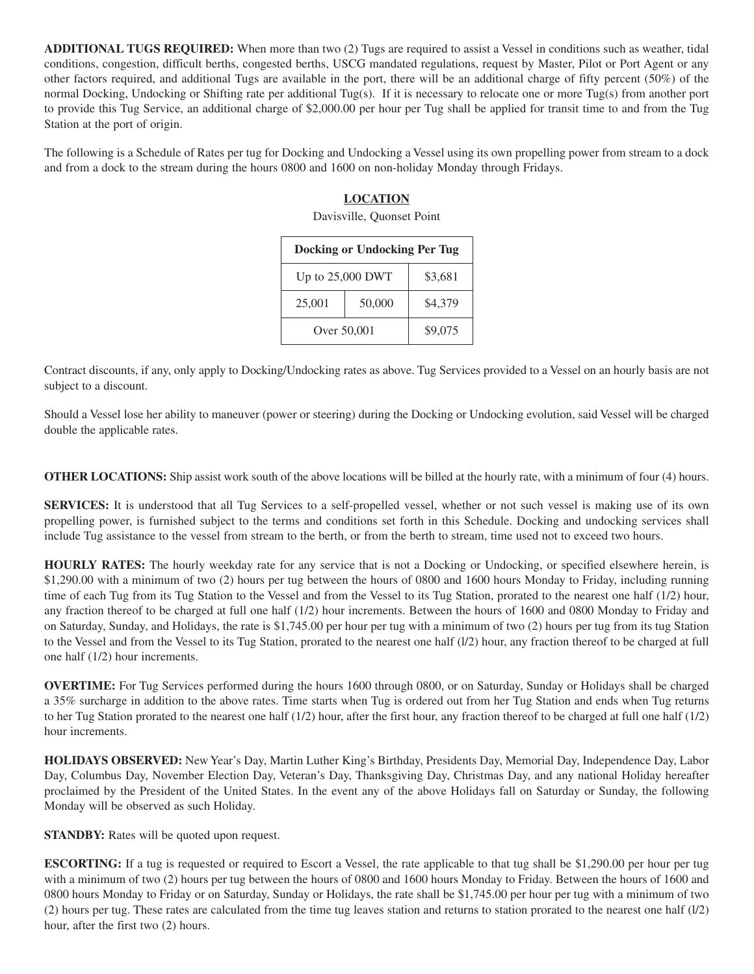**ADDITIONAL TUGS REQUIRED:** When more than two (2) Tugs are required to assist a Vessel in conditions such as weather, tidal conditions, congestion, difficult berths, congested berths, USCG mandated regulations, request by Master, Pilot or Port Agent or any other factors required, and additional Tugs are available in the port, there will be an additional charge of fifty percent (50%) of the normal Docking, Undocking or Shifting rate per additional Tug(s). If it is necessary to relocate one or more Tug(s) from another port to provide this Tug Service, an additional charge of \$2,000.00 per hour per Tug shall be applied for transit time to and from the Tug Station at the port of origin.

The following is a Schedule of Rates per tug for Docking and Undocking a Vessel using its own propelling power from stream to a dock and from a dock to the stream during the hours 0800 and 1600 on non-holiday Monday through Fridays.

#### **LOCATION**

Davisville, Quonset Point

| <b>Docking or Undocking Per Tug</b> |         |         |  |  |
|-------------------------------------|---------|---------|--|--|
| Up to 25,000 DWT                    | \$3,681 |         |  |  |
| 25,001                              | 50,000  | \$4,379 |  |  |
| Over 50,001                         | \$9,075 |         |  |  |

Contract discounts, if any, only apply to Docking/Undocking rates as above. Tug Services provided to a Vessel on an hourly basis are not subject to a discount.

Should a Vessel lose her ability to maneuver (power or steering) during the Docking or Undocking evolution, said Vessel will be charged double the applicable rates.

**OTHER LOCATIONS:** Ship assist work south of the above locations will be billed at the hourly rate, with a minimum of four (4) hours.

**SERVICES:** It is understood that all Tug Services to a self-propelled vessel, whether or not such vessel is making use of its own propelling power, is furnished subject to the terms and conditions set forth in this Schedule. Docking and undocking services shall include Tug assistance to the vessel from stream to the berth, or from the berth to stream, time used not to exceed two hours.

**HOURLY RATES:** The hourly weekday rate for any service that is not a Docking or Undocking, or specified elsewhere herein, is \$1,290.00 with a minimum of two (2) hours per tug between the hours of 0800 and 1600 hours Monday to Friday, including running time of each Tug from its Tug Station to the Vessel and from the Vessel to its Tug Station, prorated to the nearest one half (1/2) hour, any fraction thereof to be charged at full one half (1/2) hour increments. Between the hours of 1600 and 0800 Monday to Friday and on Saturday, Sunday, and Holidays, the rate is \$1,745.00 per hour per tug with a minimum of two (2) hours per tug from its tug Station to the Vessel and from the Vessel to its Tug Station, prorated to the nearest one half (l/2) hour, any fraction thereof to be charged at full one half (1/2) hour increments.

**OVERTIME:** For Tug Services performed during the hours 1600 through 0800, or on Saturday, Sunday or Holidays shall be charged a 35% surcharge in addition to the above rates. Time starts when Tug is ordered out from her Tug Station and ends when Tug returns to her Tug Station prorated to the nearest one half (1/2) hour, after the first hour, any fraction thereof to be charged at full one half (1/2) hour increments.

**HOLIDAYS OBSERVED:** New Year's Day, Martin Luther King's Birthday, Presidents Day, Memorial Day, Independence Day, Labor Day, Columbus Day, November Election Day, Veteran's Day, Thanksgiving Day, Christmas Day, and any national Holiday hereafter proclaimed by the President of the United States. In the event any of the above Holidays fall on Saturday or Sunday, the following Monday will be observed as such Holiday.

**STANDBY:** Rates will be quoted upon request.

**ESCORTING:** If a tug is requested or required to Escort a Vessel, the rate applicable to that tug shall be \$1,290.00 per hour per tug with a minimum of two (2) hours per tug between the hours of 0800 and 1600 hours Monday to Friday. Between the hours of 1600 and 0800 hours Monday to Friday or on Saturday, Sunday or Holidays, the rate shall be \$1,745.00 per hour per tug with a minimum of two (2) hours per tug. These rates are calculated from the time tug leaves station and returns to station prorated to the nearest one half (l/2) hour, after the first two (2) hours.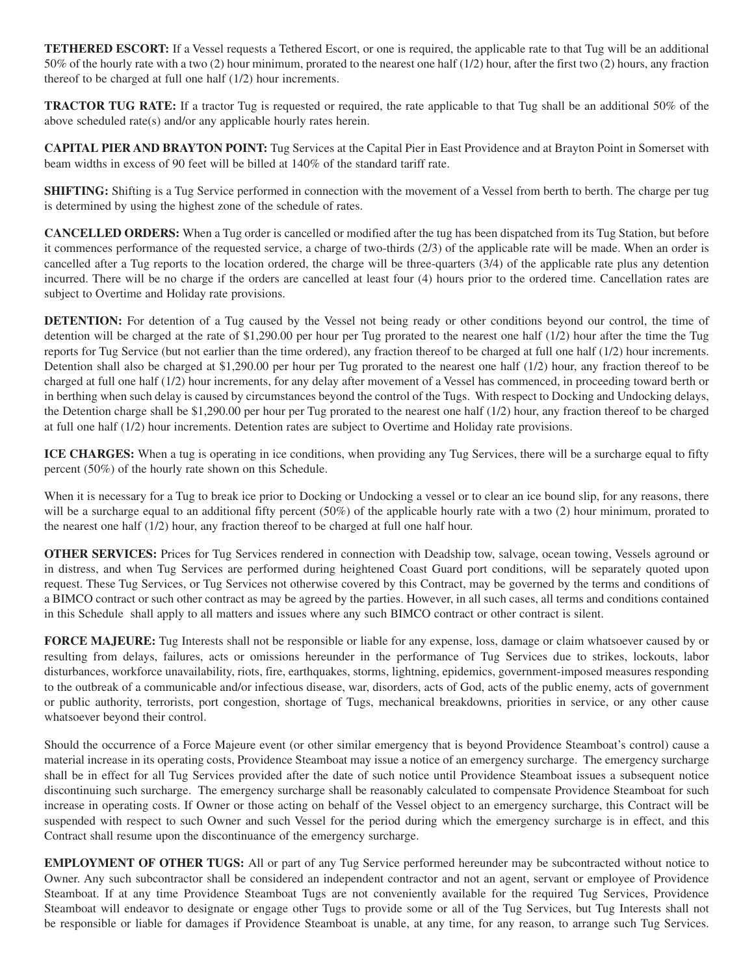**TETHERED ESCORT:** If a Vessel requests a Tethered Escort, or one is required, the applicable rate to that Tug will be an additional 50% of the hourly rate with a two (2) hour minimum, prorated to the nearest one half (1/2) hour, after the first two (2) hours, any fraction thereof to be charged at full one half (1/2) hour increments.

**TRACTOR TUG RATE:** If a tractor Tug is requested or required, the rate applicable to that Tug shall be an additional 50% of the above scheduled rate(s) and/or any applicable hourly rates herein.

**CAPITAL PIER AND BRAYTON POINT:** Tug Services at the Capital Pier in East Providence and at Brayton Point in Somerset with beam widths in excess of 90 feet will be billed at 140% of the standard tariff rate.

**SHIFTING:** Shifting is a Tug Service performed in connection with the movement of a Vessel from berth to berth. The charge per tug is determined by using the highest zone of the schedule of rates.

**CANCELLED ORDERS:** When a Tug order is cancelled or modified after the tug has been dispatched from its Tug Station, but before it commences performance of the requested service, a charge of two-thirds (2/3) of the applicable rate will be made. When an order is cancelled after a Tug reports to the location ordered, the charge will be three-quarters (3/4) of the applicable rate plus any detention incurred. There will be no charge if the orders are cancelled at least four (4) hours prior to the ordered time. Cancellation rates are subject to Overtime and Holiday rate provisions.

**DETENTION:** For detention of a Tug caused by the Vessel not being ready or other conditions beyond our control, the time of detention will be charged at the rate of \$1,290.00 per hour per Tug prorated to the nearest one half (1/2) hour after the time the Tug reports for Tug Service (but not earlier than the time ordered), any fraction thereof to be charged at full one half (1/2) hour increments. Detention shall also be charged at \$1,290.00 per hour per Tug prorated to the nearest one half (1/2) hour, any fraction thereof to be charged at full one half (1/2) hour increments, for any delay after movement of a Vessel has commenced, in proceeding toward berth or in berthing when such delay is caused by circumstances beyond the control of the Tugs. With respect to Docking and Undocking delays, the Detention charge shall be \$1,290.00 per hour per Tug prorated to the nearest one half (1/2) hour, any fraction thereof to be charged at full one half (1/2) hour increments. Detention rates are subject to Overtime and Holiday rate provisions.

**ICE CHARGES:** When a tug is operating in ice conditions, when providing any Tug Services, there will be a surcharge equal to fifty percent (50%) of the hourly rate shown on this Schedule.

When it is necessary for a Tug to break ice prior to Docking or Undocking a vessel or to clear an ice bound slip, for any reasons, there will be a surcharge equal to an additional fifty percent (50%) of the applicable hourly rate with a two (2) hour minimum, prorated to the nearest one half (1/2) hour, any fraction thereof to be charged at full one half hour.

**OTHER SERVICES:** Prices for Tug Services rendered in connection with Deadship tow, salvage, ocean towing, Vessels aground or in distress, and when Tug Services are performed during heightened Coast Guard port conditions, will be separately quoted upon request. These Tug Services, or Tug Services not otherwise covered by this Contract, may be governed by the terms and conditions of a BIMCO contract or such other contract as may be agreed by the parties. However, in all such cases, all terms and conditions contained in this Schedule shall apply to all matters and issues where any such BIMCO contract or other contract is silent.

**FORCE MAJEURE:** Tug Interests shall not be responsible or liable for any expense, loss, damage or claim whatsoever caused by or resulting from delays, failures, acts or omissions hereunder in the performance of Tug Services due to strikes, lockouts, labor disturbances, workforce unavailability, riots, fire, earthquakes, storms, lightning, epidemics, government-imposed measures responding to the outbreak of a communicable and/or infectious disease, war, disorders, acts of God, acts of the public enemy, acts of government or public authority, terrorists, port congestion, shortage of Tugs, mechanical breakdowns, priorities in service, or any other cause whatsoever beyond their control.

Should the occurrence of a Force Majeure event (or other similar emergency that is beyond Providence Steamboat's control) cause a material increase in its operating costs, Providence Steamboat may issue a notice of an emergency surcharge. The emergency surcharge shall be in effect for all Tug Services provided after the date of such notice until Providence Steamboat issues a subsequent notice discontinuing such surcharge. The emergency surcharge shall be reasonably calculated to compensate Providence Steamboat for such increase in operating costs. If Owner or those acting on behalf of the Vessel object to an emergency surcharge, this Contract will be suspended with respect to such Owner and such Vessel for the period during which the emergency surcharge is in effect, and this Contract shall resume upon the discontinuance of the emergency surcharge.

**EMPLOYMENT OF OTHER TUGS:** All or part of any Tug Service performed hereunder may be subcontracted without notice to Owner. Any such subcontractor shall be considered an independent contractor and not an agent, servant or employee of Providence Steamboat. If at any time Providence Steamboat Tugs are not conveniently available for the required Tug Services, Providence Steamboat will endeavor to designate or engage other Tugs to provide some or all of the Tug Services, but Tug Interests shall not be responsible or liable for damages if Providence Steamboat is unable, at any time, for any reason, to arrange such Tug Services.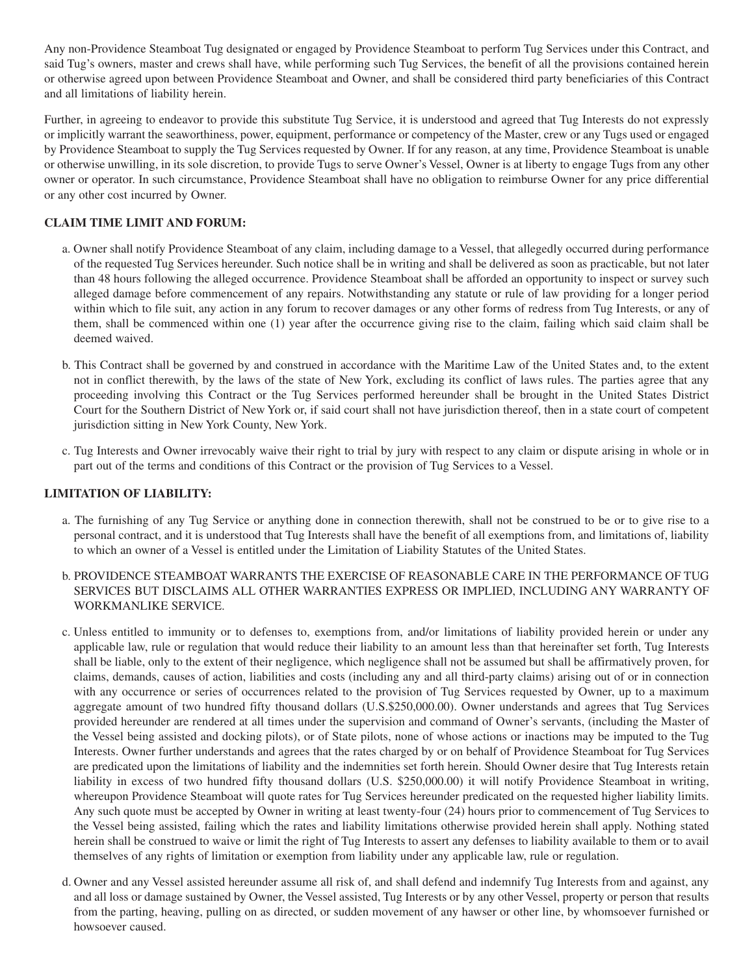Any non-Providence Steamboat Tug designated or engaged by Providence Steamboat to perform Tug Services under this Contract, and said Tug's owners, master and crews shall have, while performing such Tug Services, the benefit of all the provisions contained herein or otherwise agreed upon between Providence Steamboat and Owner, and shall be considered third party beneficiaries of this Contract and all limitations of liability herein.

Further, in agreeing to endeavor to provide this substitute Tug Service, it is understood and agreed that Tug Interests do not expressly or implicitly warrant the seaworthiness, power, equipment, performance or competency of the Master, crew or any Tugs used or engaged by Providence Steamboat to supply the Tug Services requested by Owner. If for any reason, at any time, Providence Steamboat is unable or otherwise unwilling, in its sole discretion, to provide Tugs to serve Owner's Vessel, Owner is at liberty to engage Tugs from any other owner or operator. In such circumstance, Providence Steamboat shall have no obligation to reimburse Owner for any price differential or any other cost incurred by Owner.

### **CLAIM TIME LIMIT AND FORUM:**

- a. Owner shall notify Providence Steamboat of any claim, including damage to a Vessel, that allegedly occurred during performance of the requested Tug Services hereunder. Such notice shall be in writing and shall be delivered as soon as practicable, but not later than 48 hours following the alleged occurrence. Providence Steamboat shall be afforded an opportunity to inspect or survey such alleged damage before commencement of any repairs. Notwithstanding any statute or rule of law providing for a longer period within which to file suit, any action in any forum to recover damages or any other forms of redress from Tug Interests, or any of them, shall be commenced within one (1) year after the occurrence giving rise to the claim, failing which said claim shall be deemed waived.
- b. This Contract shall be governed by and construed in accordance with the Maritime Law of the United States and, to the extent not in conflict therewith, by the laws of the state of New York, excluding its conflict of laws rules. The parties agree that any proceeding involving this Contract or the Tug Services performed hereunder shall be brought in the United States District Court for the Southern District of New York or, if said court shall not have jurisdiction thereof, then in a state court of competent jurisdiction sitting in New York County, New York.
- c. Tug Interests and Owner irrevocably waive their right to trial by jury with respect to any claim or dispute arising in whole or in part out of the terms and conditions of this Contract or the provision of Tug Services to a Vessel.

#### **LIMITATION OF LIABILITY:**

- a. The furnishing of any Tug Service or anything done in connection therewith, shall not be construed to be or to give rise to a personal contract, and it is understood that Tug Interests shall have the benefit of all exemptions from, and limitations of, liability to which an owner of a Vessel is entitled under the Limitation of Liability Statutes of the United States.
- b. PROVIDENCE STEAMBOAT WARRANTS THE EXERCISE OF REASONABLE CARE IN THE PERFORMANCE OF TUG SERVICES BUT DISCLAIMS ALL OTHER WARRANTIES EXPRESS OR IMPLIED, INCLUDING ANY WARRANTY OF WORKMANLIKE SERVICE.
- c. Unless entitled to immunity or to defenses to, exemptions from, and/or limitations of liability provided herein or under any applicable law, rule or regulation that would reduce their liability to an amount less than that hereinafter set forth, Tug Interests shall be liable, only to the extent of their negligence, which negligence shall not be assumed but shall be affirmatively proven, for claims, demands, causes of action, liabilities and costs (including any and all third-party claims) arising out of or in connection with any occurrence or series of occurrences related to the provision of Tug Services requested by Owner, up to a maximum aggregate amount of two hundred fifty thousand dollars (U.S.\$250,000.00). Owner understands and agrees that Tug Services provided hereunder are rendered at all times under the supervision and command of Owner's servants, (including the Master of the Vessel being assisted and docking pilots), or of State pilots, none of whose actions or inactions may be imputed to the Tug Interests. Owner further understands and agrees that the rates charged by or on behalf of Providence Steamboat for Tug Services are predicated upon the limitations of liability and the indemnities set forth herein. Should Owner desire that Tug Interests retain liability in excess of two hundred fifty thousand dollars (U.S. \$250,000.00) it will notify Providence Steamboat in writing, whereupon Providence Steamboat will quote rates for Tug Services hereunder predicated on the requested higher liability limits. Any such quote must be accepted by Owner in writing at least twenty-four (24) hours prior to commencement of Tug Services to the Vessel being assisted, failing which the rates and liability limitations otherwise provided herein shall apply. Nothing stated herein shall be construed to waive or limit the right of Tug Interests to assert any defenses to liability available to them or to avail themselves of any rights of limitation or exemption from liability under any applicable law, rule or regulation.
- d. Owner and any Vessel assisted hereunder assume all risk of, and shall defend and indemnify Tug Interests from and against, any and all loss or damage sustained by Owner, the Vessel assisted, Tug Interests or by any other Vessel, property or person that results from the parting, heaving, pulling on as directed, or sudden movement of any hawser or other line, by whomsoever furnished or howsoever caused.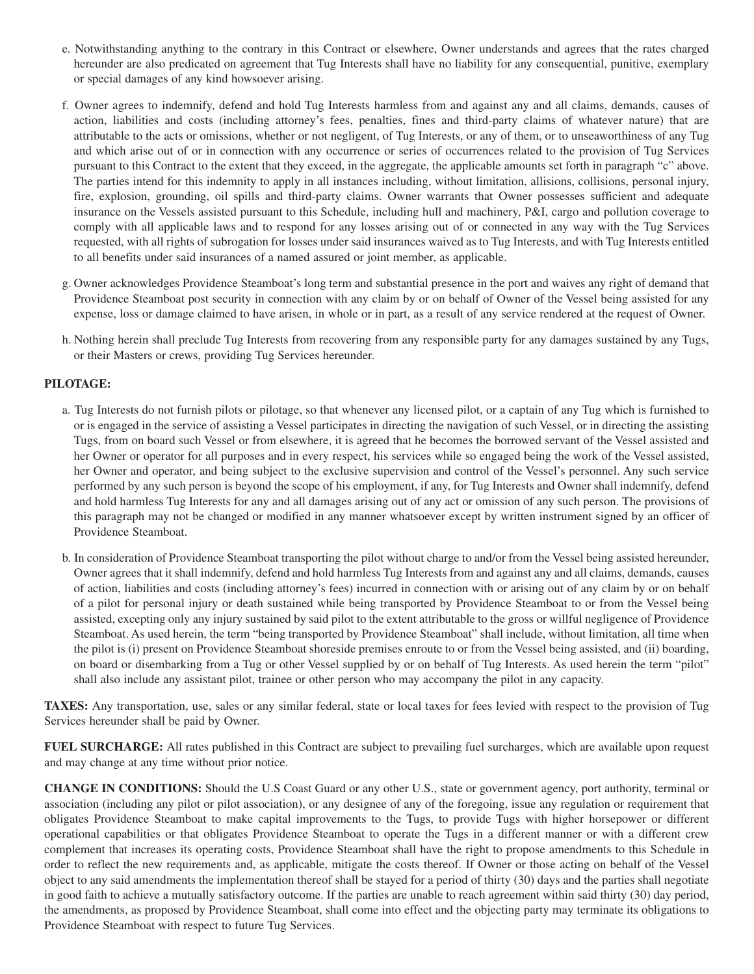- e. Notwithstanding anything to the contrary in this Contract or elsewhere, Owner understands and agrees that the rates charged hereunder are also predicated on agreement that Tug Interests shall have no liability for any consequential, punitive, exemplary or special damages of any kind howsoever arising.
- f. Owner agrees to indemnify, defend and hold Tug Interests harmless from and against any and all claims, demands, causes of action, liabilities and costs (including attorney's fees, penalties, fines and third-party claims of whatever nature) that are attributable to the acts or omissions, whether or not negligent, of Tug Interests, or any of them, or to unseaworthiness of any Tug and which arise out of or in connection with any occurrence or series of occurrences related to the provision of Tug Services pursuant to this Contract to the extent that they exceed, in the aggregate, the applicable amounts set forth in paragraph "c" above. The parties intend for this indemnity to apply in all instances including, without limitation, allisions, collisions, personal injury, fire, explosion, grounding, oil spills and third-party claims. Owner warrants that Owner possesses sufficient and adequate insurance on the Vessels assisted pursuant to this Schedule, including hull and machinery, P&I, cargo and pollution coverage to comply with all applicable laws and to respond for any losses arising out of or connected in any way with the Tug Services requested, with all rights of subrogation for losses under said insurances waived as to Tug Interests, and with Tug Interests entitled to all benefits under said insurances of a named assured or joint member, as applicable.
- g. Owner acknowledges Providence Steamboat's long term and substantial presence in the port and waives any right of demand that Providence Steamboat post security in connection with any claim by or on behalf of Owner of the Vessel being assisted for any expense, loss or damage claimed to have arisen, in whole or in part, as a result of any service rendered at the request of Owner.
- h. Nothing herein shall preclude Tug Interests from recovering from any responsible party for any damages sustained by any Tugs, or their Masters or crews, providing Tug Services hereunder.

#### **PILOTAGE:**

- a. Tug Interests do not furnish pilots or pilotage, so that whenever any licensed pilot, or a captain of any Tug which is furnished to or is engaged in the service of assisting a Vessel participates in directing the navigation of such Vessel, or in directing the assisting Tugs, from on board such Vessel or from elsewhere, it is agreed that he becomes the borrowed servant of the Vessel assisted and her Owner or operator for all purposes and in every respect, his services while so engaged being the work of the Vessel assisted, her Owner and operator, and being subject to the exclusive supervision and control of the Vessel's personnel. Any such service performed by any such person is beyond the scope of his employment, if any, for Tug Interests and Owner shall indemnify, defend and hold harmless Tug Interests for any and all damages arising out of any act or omission of any such person. The provisions of this paragraph may not be changed or modified in any manner whatsoever except by written instrument signed by an officer of Providence Steamboat.
- b. In consideration of Providence Steamboat transporting the pilot without charge to and/or from the Vessel being assisted hereunder, Owner agrees that it shall indemnify, defend and hold harmless Tug Interests from and against any and all claims, demands, causes of action, liabilities and costs (including attorney's fees) incurred in connection with or arising out of any claim by or on behalf of a pilot for personal injury or death sustained while being transported by Providence Steamboat to or from the Vessel being assisted, excepting only any injury sustained by said pilot to the extent attributable to the gross or willful negligence of Providence Steamboat. As used herein, the term "being transported by Providence Steamboat" shall include, without limitation, all time when the pilot is (i) present on Providence Steamboat shoreside premises enroute to or from the Vessel being assisted, and (ii) boarding, on board or disembarking from a Tug or other Vessel supplied by or on behalf of Tug Interests. As used herein the term "pilot" shall also include any assistant pilot, trainee or other person who may accompany the pilot in any capacity.

**TAXES:** Any transportation, use, sales or any similar federal, state or local taxes for fees levied with respect to the provision of Tug Services hereunder shall be paid by Owner.

**FUEL SURCHARGE:** All rates published in this Contract are subject to prevailing fuel surcharges, which are available upon request and may change at any time without prior notice.

**CHANGE IN CONDITIONS:** Should the U.S Coast Guard or any other U.S., state or government agency, port authority, terminal or association (including any pilot or pilot association), or any designee of any of the foregoing, issue any regulation or requirement that obligates Providence Steamboat to make capital improvements to the Tugs, to provide Tugs with higher horsepower or different operational capabilities or that obligates Providence Steamboat to operate the Tugs in a different manner or with a different crew complement that increases its operating costs, Providence Steamboat shall have the right to propose amendments to this Schedule in order to reflect the new requirements and, as applicable, mitigate the costs thereof. If Owner or those acting on behalf of the Vessel object to any said amendments the implementation thereof shall be stayed for a period of thirty (30) days and the parties shall negotiate in good faith to achieve a mutually satisfactory outcome. If the parties are unable to reach agreement within said thirty (30) day period, the amendments, as proposed by Providence Steamboat, shall come into effect and the objecting party may terminate its obligations to Providence Steamboat with respect to future Tug Services.